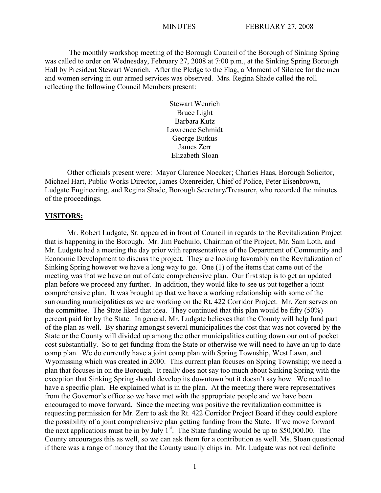The monthly workshop meeting of the Borough Council of the Borough of Sinking Spring was called to order on Wednesday, February 27, 2008 at 7:00 p.m., at the Sinking Spring Borough Hall by President Stewart Wenrich. After the Pledge to the Flag, a Moment of Silence for the men and women serving in our armed services was observed. Mrs. Regina Shade called the roll reflecting the following Council Members present:

> Stewart Wenrich Bruce Light Barbara Kutz Lawrence Schmidt George Butkus James Zerr Elizabeth Sloan

Other officials present were: Mayor Clarence Noecker; Charles Haas, Borough Solicitor, Michael Hart, Public Works Director, James Oxenreider, Chief of Police, Peter Eisenbrown, Ludgate Engineering, and Regina Shade, Borough Secretary/Treasurer, who recorded the minutes of the proceedings.

### **VISITORS:**

Mr. Robert Ludgate, Sr. appeared in front of Council in regards to the Revitalization Project that is happening in the Borough. Mr. Jim Pachuilo, Chairman of the Project, Mr. Sam Loth, and Mr. Ludgate had a meeting the day prior with representatives of the Department of Community and Economic Development to discuss the project. They are looking favorably on the Revitalization of Sinking Spring however we have a long way to go. One (1) of the items that came out of the meeting was that we have an out of date comprehensive plan. Our first step is to get an updated plan before we proceed any further. In addition, they would like to see us put together a joint comprehensive plan. It was brought up that we have a working relationship with some of the surrounding municipalities as we are working on the Rt. 422 Corridor Project. Mr. Zerr serves on the committee. The State liked that idea. They continued that this plan would be fifty (50%) percent paid for by the State. In general, Mr. Ludgate believes that the County will help fund part of the plan as well. By sharing amongst several municipalities the cost that was not covered by the State or the County will divided up among the other municipalities cutting down our out of pocket cost substantially. So to get funding from the State or otherwise we will need to have an up to date comp plan. We do currently have a joint comp plan with Spring Township, West Lawn, and Wyomissing which was created in 2000. This current plan focuses on Spring Township; we need a plan that focuses in on the Borough. It really does not say too much about Sinking Spring with the exception that Sinking Spring should develop its downtown but it doesn't say how. We need to have a specific plan. He explained what is in the plan. At the meeting there were representatives from the Governor's office so we have met with the appropriate people and we have been encouraged to move forward. Since the meeting was positive the revitalization committee is requesting permission for Mr. Zerr to ask the Rt. 422 Corridor Project Board if they could explore the possibility of a joint comprehensive plan getting funding from the State. If we move forward the next applications must be in by July  $1<sup>st</sup>$ . The State funding would be up to \$50,000.00. The County encourages this as well, so we can ask them for a contribution as well. Ms. Sloan questioned if there was a range of money that the County usually chips in. Mr. Ludgate was not real definite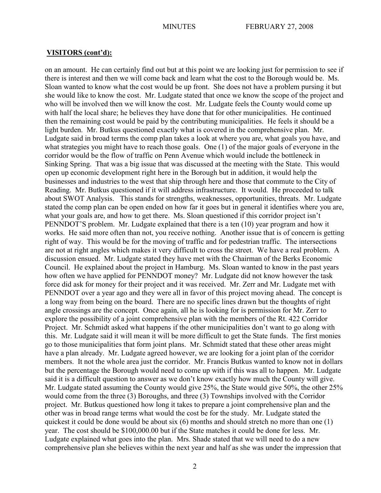# **VISITORS (cont'd):**

on an amount. He can certainly find out but at this point we are looking just for permission to see if there is interest and then we will come back and learn what the cost to the Borough would be. Ms. Sloan wanted to know what the cost would be up front. She does not have a problem pursing it but she would like to know the cost. Mr. Ludgate stated that once we know the scope of the project and who will be involved then we will know the cost. Mr. Ludgate feels the County would come up with half the local share; he believes they have done that for other municipalities. He continued then the remaining cost would be paid by the contributing municipalities. He feels it should be a light burden. Mr. Butkus questioned exactly what is covered in the comprehensive plan. Mr. Ludgate said in broad terms the comp plan takes a look at where you are, what goals you have, and what strategies you might have to reach those goals. One (1) of the major goals of everyone in the corridor would be the flow of traffic on Penn Avenue which would include the bottleneck in Sinking Spring. That was a big issue that was discussed at the meeting with the State. This would open up economic development right here in the Borough but in addition, it would help the businesses and industries to the west that ship through here and those that commute to the City of Reading. Mr. Butkus questioned if it will address infrastructure. It would. He proceeded to talk about SWOT Analysis. This stands for strengths, weaknesses, opportunities, threats. Mr. Ludgate stated the comp plan can be open ended on how far it goes but in general it identifies where you are, what your goals are, and how to get there. Ms. Sloan questioned if this corridor project isn't PENNDOT'S problem. Mr. Ludgate explained that there is a ten (10) year program and how it works. He said more often than not, you receive nothing. Another issue that is of concern is getting right of way. This would be for the moving of traffic and for pedestrian traffic. The intersections are not at right angles which makes it very difficult to cross the street. We have a real problem. A discussion ensued. Mr. Ludgate stated they have met with the Chairman of the Berks Economic Council. He explained about the project in Hamburg. Ms. Sloan wanted to know in the past years how often we have applied for PENNDOT money? Mr. Ludgate did not know however the task force did ask for money for their project and it was received. Mr. Zerr and Mr. Ludgate met with PENNDOT over a year ago and they were all in favor of this project moving ahead. The concept is a long way from being on the board. There are no specific lines drawn but the thoughts of right angle crossings are the concept. Once again, all he is looking for is permission for Mr. Zerr to explore the possibility of a joint comprehensive plan with the members of the Rt. 422 Corridor Project. Mr. Schmidt asked what happens if the other municipalities don't want to go along with this. Mr. Ludgate said it will mean it will be more difficult to get the State funds. The first monies go to those municipalities that form joint plans. Mr. Schmidt stated that these other areas might have a plan already. Mr. Ludgate agreed however, we are looking for a joint plan of the corridor members. It not the whole area just the corridor. Mr. Francis Butkus wanted to know not in dollars but the percentage the Borough would need to come up with if this was all to happen. Mr. Ludgate said it is a difficult question to answer as we don't know exactly how much the County will give. Mr. Ludgate stated assuming the County would give 25%, the State would give 50%, the other 25% would come from the three (3) Boroughs, and three (3) Townships involved with the Corridor project. Mr. Butkus questioned how long it takes to prepare a joint comprehensive plan and the other was in broad range terms what would the cost be for the study. Mr. Ludgate stated the quickest it could be done would be about six (6) months and should stretch no more than one (1) year. The cost should be \$100,000.00 but if the State matches it could be done for less. Mr. Ludgate explained what goes into the plan. Mrs. Shade stated that we will need to do a new comprehensive plan she believes within the next year and half as she was under the impression that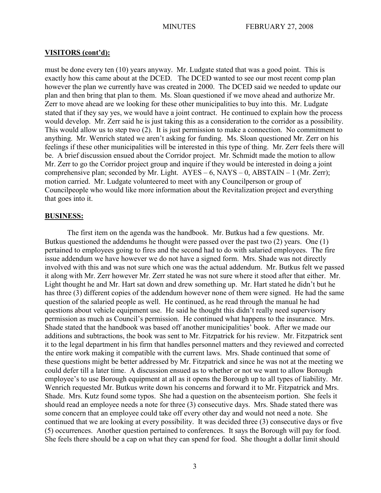# **VISITORS (cont'd):**

must be done every ten (10) years anyway. Mr. Ludgate stated that was a good point. This is exactly how this came about at the DCED. The DCED wanted to see our most recent comp plan however the plan we currently have was created in 2000. The DCED said we needed to update our plan and then bring that plan to them. Ms. Sloan questioned if we move ahead and authorize Mr. Zerr to move ahead are we looking for these other municipalities to buy into this. Mr. Ludgate stated that if they say yes, we would have a joint contract. He continued to explain how the process would develop. Mr. Zerr said he is just taking this as a consideration to the corridor as a possibility. This would allow us to step two (2). It is just permission to make a connection. No commitment to anything. Mr. Wenrich stated we aren't asking for funding. Ms. Sloan questioned Mr. Zerr on his feelings if these other municipalities will be interested in this type of thing. Mr. Zerr feels there will be. A brief discussion ensued about the Corridor project. Mr. Schmidt made the motion to allow Mr. Zerr to go the Corridor project group and inquire if they would be interested in doing a joint comprehensive plan; seconded by Mr. Light.  $AYES - 6$ ,  $NAYS - 0$ ,  $ABSTAIN - 1$  (Mr. Zerr); motion carried. Mr. Ludgate volunteered to meet with any Councilperson or group of Councilpeople who would like more information about the Revitalization project and everything that goes into it.

# **BUSINESS:**

The first item on the agenda was the handbook. Mr. Butkus had a few questions. Mr. Butkus questioned the addendums he thought were passed over the past two (2) years. One (1) pertained to employees going to fires and the second had to do with salaried employees. The fire issue addendum we have however we do not have a signed form. Mrs. Shade was not directly involved with this and was not sure which one was the actual addendum. Mr. Butkus felt we passed it along with Mr. Zerr however Mr. Zerr stated he was not sure where it stood after that either. Mr. Light thought he and Mr. Hart sat down and drew something up. Mr. Hart stated he didn't but he has three (3) different copies of the addendum however none of them were signed. He had the same question of the salaried people as well. He continued, as he read through the manual he had questions about vehicle equipment use. He said he thought this didn't really need supervisory permission as much as Council's permission. He continued what happens to the insurance. Mrs. Shade stated that the handbook was based off another municipalities' book. After we made our additions and subtractions, the book was sent to Mr. Fitzpatrick for his review. Mr. Fitzpatrick sent it to the legal department in his firm that handles personnel matters and they reviewed and corrected the entire work making it compatible with the current laws. Mrs. Shade continued that some of these questions might be better addressed by Mr. Fitzpatrick and since he was not at the meeting we could defer till a later time. A discussion ensued as to whether or not we want to allow Borough employee's to use Borough equipment at all as it opens the Borough up to all types of liability. Mr. Wenrich requested Mr. Butkus write down his concerns and forward it to Mr. Fitzpatrick and Mrs. Shade. Mrs. Kutz found some typos. She had a question on the absenteeism portion. She feels it should read an employee needs a note for three (3) consecutive days. Mrs. Shade stated there was some concern that an employee could take off every other day and would not need a note. She continued that we are looking at every possibility. It was decided three (3) consecutive days or five (5) occurrences. Another question pertained to conferences. It says the Borough will pay for food. She feels there should be a cap on what they can spend for food. She thought a dollar limit should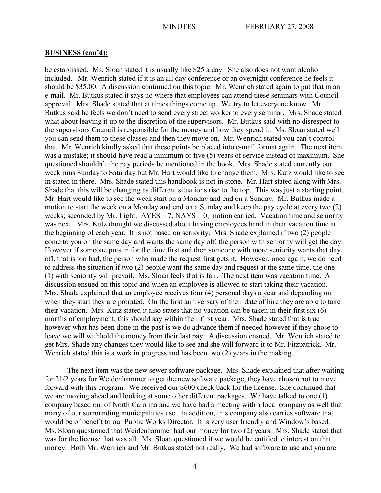be established. Ms. Sloan stated it is usually like \$25 a day. She also does not want alcohol included. Mr. Wenrich stated if it is an all day conference or an overnight conference he feels it should be \$35.00. A discussion continued on this topic. Mr. Wenrich stated again to put that in an e-mail. Mr. Butkus stated it says no where that employees can attend these seminars with Council approval. Mrs. Shade stated that at times things come up. We try to let everyone know. Mr. Butkus said he feels we don't need to send every street worker to every seminar. Mrs. Shade stated what about leaving it up to the discretion of the supervisors. Mr. Butkus said with no disrespect to the supervisors Council is responsible for the money and how they spend it. Ms. Sloan stated well you can send them to these classes and then they move on. Mr. Wenrich stated you can't control that. Mr. Wenrich kindly asked that these points be placed into e-mail format again. The next item was a mistake; it should have read a minimum of five (5) years of service instead of maximum. She questioned shouldn't the pay periods be mentioned in the book. Mrs. Shade stated currently our week runs Sunday to Saturday but Mr. Hart would like to change them. Mrs. Kutz would like to see in stated in there. Mrs. Shade stated this handbook is not in stone. Mr. Hart stated along with Mrs. Shade that this will be changing as different situations rise to the top. This was just a starting point. Mr. Hart would like to see the week start on a Monday and end on a Sunday. Mr. Butkus made a motion to start the week on a Monday and end on a Sunday and keep the pay cycle at every two (2) weeks; seconded by Mr. Light.  $AYES - 7$ ,  $NAYS - 0$ ; motion carried. Vacation time and seniority was next. Mrs. Kutz thought we discussed about having employees hand in their vacation time at the beginning of each year. It is not based on seniority. Mrs. Shade explained if two (2) people come to you on the same day and wants the same day off, the person with seniority will get the day. However if someone puts in for the time first and then someone with more seniority wants that day off, that is too bad, the person who made the request first gets it. However, once again, we do need to address the situation if two (2) people want the same day and request at the same time, the one (1) with seniority will prevail. Ms. Sloan feels that is fair. The next item was vacation time. A discussion ensued on this topic and when an employee is allowed to start taking their vacation. Mrs. Shade explained that an employee receives four (4) personal days a year and depending on when they start they are prorated. On the first anniversary of their date of hire they are able to take their vacation. Mrs. Kutz stated it also states that no vacation can be taken in their first six (6) months of employment, this should say within their first year. Mrs. Shade stated that is true however what has been done in the past is we do advance them if needed however if they chose to leave we will withhold the money from their last pay. A discussion ensued. Mr. Wenrich stated to get Mrs. Shade any changes they would like to see and she will forward it to Mr. Fitzpatrick. Mr. Wenrich stated this is a work in progress and has been two (2) years in the making.

The next item was the new sewer software package. Mrs. Shade explained that after waiting for 21/2 years for Weidenhammer to get the new software package, they have chosen not to move forward with this program. We received our \$600 check back for the license. She continued that we are moving ahead and looking at some other different packages. We have talked to one (1) company based out of North Carolina and we have had a meeting with a local company as well that many of our surrounding municipalities use. In addition, this company also carries software that would be of benefit to our Public Works Director. It is very user friendly and Window's based. Ms. Sloan questioned that Weidenhammer had our money for two (2) years. Mrs. Shade stated that was for the license that was all. Ms. Sloan questioned if we would be entitled to interest on that money. Both Mr. Wenrich and Mr. Butkus stated not really. We had software to use and you are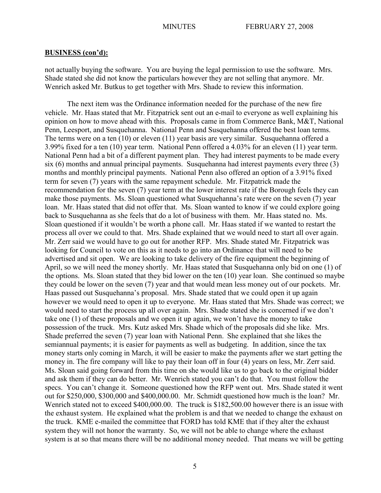not actually buying the software. You are buying the legal permission to use the software. Mrs. Shade stated she did not know the particulars however they are not selling that anymore. Mr. Wenrich asked Mr. Butkus to get together with Mrs. Shade to review this information.

The next item was the Ordinance information needed for the purchase of the new fire vehicle. Mr. Haas stated that Mr. Fitzpatrick sent out an e-mail to everyone as well explaining his opinion on how to move ahead with this. Proposals came in from Commerce Bank, M&T, National Penn, Leesport, and Susquehanna. National Penn and Susquehanna offered the best loan terms. The terms were on a ten (10) or eleven (11) year basis are very similar. Susquehanna offered a 3.99% fixed for a ten (10) year term. National Penn offered a 4.03% for an eleven (11) year term. National Penn had a bit of a different payment plan. They had interest payments to be made every six (6) months and annual principal payments. Susquehanna had interest payments every three (3) months and monthly principal payments. National Penn also offered an option of a 3.91% fixed term for seven (7) years with the same repayment schedule. Mr. Fitzpatrick made the recommendation for the seven (7) year term at the lower interest rate if the Borough feels they can make those payments. Ms. Sloan questioned what Susquehanna's rate were on the seven (7) year loan. Mr. Haas stated that did not offer that. Ms. Sloan wanted to know if we could explore going back to Susquehanna as she feels that do a lot of business with them. Mr. Haas stated no. Ms. Sloan questioned if it wouldn't be worth a phone call. Mr. Haas stated if we wanted to restart the process all over we could to that. Mrs. Shade explained that we would need to start all over again. Mr. Zerr said we would have to go out for another RFP. Mrs. Shade stated Mr. Fitzpatrick was looking for Council to vote on this as it needs to go into an Ordinance that will need to be advertised and sit open. We are looking to take delivery of the fire equipment the beginning of April, so we will need the money shortly. Mr. Haas stated that Susquehanna only bid on one (1) of the options. Ms. Sloan stated that they bid lower on the ten (10) year loan. She continued so maybe they could be lower on the seven (7) year and that would mean less money out of our pockets. Mr. Haas passed out Susquehanna's proposal. Mrs. Shade stated that we could open it up again however we would need to open it up to everyone. Mr. Haas stated that Mrs. Shade was correct; we would need to start the process up all over again. Mrs. Shade stated she is concerned if we don't take one (1) of these proposals and we open it up again, we won't have the money to take possession of the truck. Mrs. Kutz asked Mrs. Shade which of the proposals did she like. Mrs. Shade preferred the seven (7) year loan with National Penn. She explained that she likes the semiannual payments; it is easier for payments as well as budgeting. In addition, since the tax money starts only coming in March, it will be easier to make the payments after we start getting the money in. The fire company will like to pay their loan off in four (4) years on less, Mr. Zerr said. Ms. Sloan said going forward from this time on she would like us to go back to the original bidder and ask them if they can do better. Mr. Wenrich stated you can't do that. You must follow the specs. You can't change it. Someone questioned how the RFP went out. Mrs. Shade stated it went out for \$250,000, \$300,000 and \$400,000.00. Mr. Schmidt questioned how much is the loan? Mr. Wenrich stated not to exceed \$400,000.00. The truck is \$182,500.00 however there is an issue with the exhaust system. He explained what the problem is and that we needed to change the exhaust on the truck. KME e-mailed the committee that FORD has told KME that if they alter the exhaust system they will not honor the warranty. So, we will not be able to change where the exhaust system is at so that means there will be no additional money needed. That means we will be getting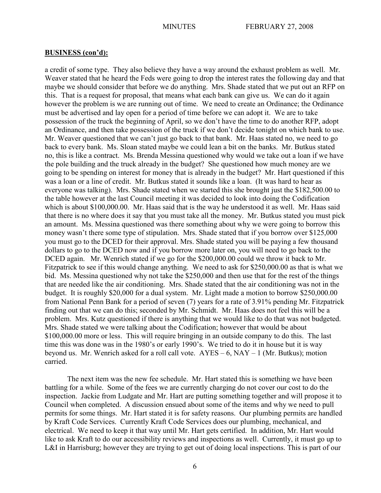a credit of some type. They also believe they have a way around the exhaust problem as well. Mr. Weaver stated that he heard the Feds were going to drop the interest rates the following day and that maybe we should consider that before we do anything. Mrs. Shade stated that we put out an RFP on this. That is a request for proposal, that means what each bank can give us. We can do it again however the problem is we are running out of time. We need to create an Ordinance; the Ordinance must be advertised and lay open for a period of time before we can adopt it. We are to take possession of the truck the beginning of April, so we don't have the time to do another RFP, adopt an Ordinance, and then take possession of the truck if we don't decide tonight on which bank to use. Mr. Weaver questioned that we can't just go back to that bank. Mr. Haas stated no, we need to go back to every bank. Ms. Sloan stated maybe we could lean a bit on the banks. Mr. Butkus stated no, this is like a contract. Ms. Brenda Messina questioned why would we take out a loan if we have the pole building and the truck already in the budget? She questioned how much money are we going to be spending on interest for money that is already in the budget? Mr. Hart questioned if this was a loan or a line of credit. Mr. Butkus stated it sounds like a loan. (It was hard to hear as everyone was talking). Mrs. Shade stated when we started this she brought just the \$182,500.00 to the table however at the last Council meeting it was decided to look into doing the Codification which is about \$100,000.00. Mr. Haas said that is the way he understood it as well. Mr. Haas said that there is no where does it say that you must take all the money. Mr. Butkus stated you must pick an amount. Ms. Messina questioned was there something about why we were going to borrow this money wasn't there some type of stipulation. Mrs. Shade stated that if you borrow over \$125,000 you must go to the DCED for their approval. Mrs. Shade stated you will be paying a few thousand dollars to go to the DCED now and if you borrow more later on, you will need to go back to the DCED again. Mr. Wenrich stated if we go for the \$200,000.00 could we throw it back to Mr. Fitzpatrick to see if this would change anything. We need to ask for \$250,000.00 as that is what we bid. Ms. Messina questioned why not take the \$250,000 and then use that for the rest of the things that are needed like the air conditioning. Mrs. Shade stated that the air conditioning was not in the budget. It is roughly \$20,000 for a dual system. Mr. Light made a motion to borrow \$250,000.00 from National Penn Bank for a period of seven (7) years for a rate of 3.91% pending Mr. Fitzpatrick finding out that we can do this; seconded by Mr. Schmidt. Mr. Haas does not feel this will be a problem. Mrs. Kutz questioned if there is anything that we would like to do that was not budgeted. Mrs. Shade stated we were talking about the Codification; however that would be about \$100,000.00 more or less. This will require bringing in an outside company to do this. The last time this was done was in the 1980's or early 1990's. We tried to do it in house but it is way beyond us. Mr. Wenrich asked for a roll call vote.  $AYES - 6$ ,  $NAY - 1$  (Mr. Butkus); motion carried.

The next item was the new fee schedule. Mr. Hart stated this is something we have been battling for a while. Some of the fees we are currently charging do not cover our cost to do the inspection. Jackie from Ludgate and Mr. Hart are putting something together and will propose it to Council when completed. A discussion ensued about some of the items and why we need to pull permits for some things. Mr. Hart stated it is for safety reasons. Our plumbing permits are handled by Kraft Code Services. Currently Kraft Code Services does our plumbing, mechanical, and electrical. We need to keep it that way until Mr. Hart gets certified. In addition, Mr. Hart would like to ask Kraft to do our accessibility reviews and inspections as well. Currently, it must go up to L&I in Harrisburg; however they are trying to get out of doing local inspections. This is part of our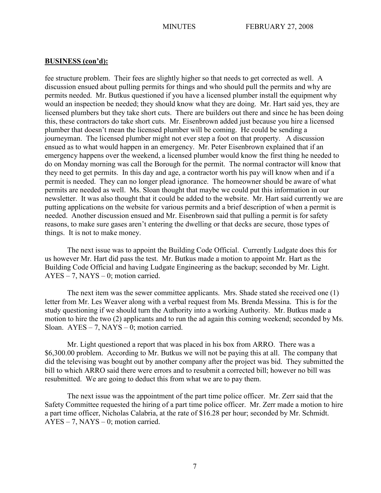fee structure problem. Their fees are slightly higher so that needs to get corrected as well. A discussion ensued about pulling permits for things and who should pull the permits and why are permits needed. Mr. Butkus questioned if you have a licensed plumber install the equipment why would an inspection be needed; they should know what they are doing. Mr. Hart said yes, they are licensed plumbers but they take short cuts. There are builders out there and since he has been doing this, these contractors do take short cuts. Mr. Eisenbrown added just because you hire a licensed plumber that doesn't mean the licensed plumber will be coming. He could be sending a journeyman. The licensed plumber might not ever step a foot on that property. A discussion ensued as to what would happen in an emergency. Mr. Peter Eisenbrown explained that if an emergency happens over the weekend, a licensed plumber would know the first thing he needed to do on Monday morning was call the Borough for the permit. The normal contractor will know that they need to get permits. In this day and age, a contractor worth his pay will know when and if a permit is needed. They can no longer plead ignorance. The homeowner should be aware of what permits are needed as well. Ms. Sloan thought that maybe we could put this information in our newsletter. It was also thought that it could be added to the website. Mr. Hart said currently we are putting applications on the website for various permits and a brief description of when a permit is needed. Another discussion ensued and Mr. Eisenbrown said that pulling a permit is for safety reasons, to make sure gases aren't entering the dwelling or that decks are secure, those types of things. It is not to make money.

The next issue was to appoint the Building Code Official. Currently Ludgate does this for us however Mr. Hart did pass the test. Mr. Butkus made a motion to appoint Mr. Hart as the Building Code Official and having Ludgate Engineering as the backup; seconded by Mr. Light. AYES – 7, NAYS – 0; motion carried.

The next item was the sewer committee applicants. Mrs. Shade stated she received one (1) letter from Mr. Les Weaver along with a verbal request from Ms. Brenda Messina. This is for the study questioning if we should turn the Authority into a working Authority. Mr. Butkus made a motion to hire the two (2) applicants and to run the ad again this coming weekend; seconded by Ms. Sloan.  $AYES - 7$ ,  $NAYS - 0$ ; motion carried.

Mr. Light questioned a report that was placed in his box from ARRO. There was a \$6,300.00 problem. According to Mr. Butkus we will not be paying this at all. The company that did the televising was bought out by another company after the project was bid. They submitted the bill to which ARRO said there were errors and to resubmit a corrected bill; however no bill was resubmitted. We are going to deduct this from what we are to pay them.

The next issue was the appointment of the part time police officer. Mr. Zerr said that the Safety Committee requested the hiring of a part time police officer. Mr. Zerr made a motion to hire a part time officer, Nicholas Calabria, at the rate of \$16.28 per hour; seconded by Mr. Schmidt. AYES – 7, NAYS – 0; motion carried.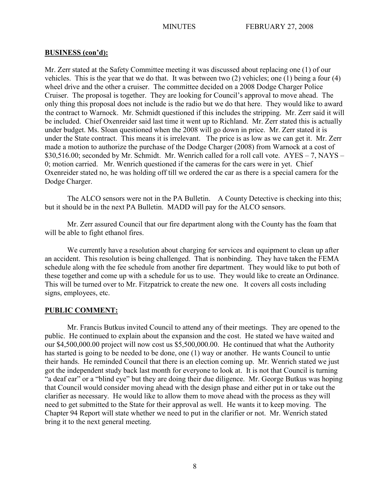Mr. Zerr stated at the Safety Committee meeting it was discussed about replacing one (1) of our vehicles. This is the year that we do that. It was between two (2) vehicles; one (1) being a four (4) wheel drive and the other a cruiser. The committee decided on a 2008 Dodge Charger Police Cruiser. The proposal is together. They are looking for Council's approval to move ahead. The only thing this proposal does not include is the radio but we do that here. They would like to award the contract to Warnock. Mr. Schmidt questioned if this includes the stripping. Mr. Zerr said it will be included. Chief Oxenreider said last time it went up to Richland. Mr. Zerr stated this is actually under budget. Ms. Sloan questioned when the 2008 will go down in price. Mr. Zerr stated it is under the State contract. This means it is irrelevant. The price is as low as we can get it. Mr. Zerr made a motion to authorize the purchase of the Dodge Charger (2008) from Warnock at a cost of \$30,516.00; seconded by Mr. Schmidt. Mr. Wenrich called for a roll call vote. AYES – 7, NAYS – 0; motion carried. Mr. Wenrich questioned if the cameras for the cars were in yet. Chief Oxenreider stated no, he was holding off till we ordered the car as there is a special camera for the Dodge Charger.

The ALCO sensors were not in the PA Bulletin. A County Detective is checking into this; but it should be in the next PA Bulletin. MADD will pay for the ALCO sensors.

Mr. Zerr assured Council that our fire department along with the County has the foam that will be able to fight ethanol fires.

We currently have a resolution about charging for services and equipment to clean up after an accident. This resolution is being challenged. That is nonbinding. They have taken the FEMA schedule along with the fee schedule from another fire department. They would like to put both of these together and come up with a schedule for us to use. They would like to create an Ordinance. This will be turned over to Mr. Fitzpatrick to create the new one. It covers all costs including signs, employees, etc.

# **PUBLIC COMMENT:**

Mr. Francis Butkus invited Council to attend any of their meetings. They are opened to the public. He continued to explain about the expansion and the cost. He stated we have waited and our \$4,500,000.00 project will now cost us \$5,500,000.00. He continued that what the Authority has started is going to be needed to be done, one (1) way or another. He wants Council to untie their hands. He reminded Council that there is an election coming up. Mr. Wenrich stated we just got the independent study back last month for everyone to look at. It is not that Council is turning "a deaf ear" or a "blind eye" but they are doing their due diligence. Mr. George Butkus was hoping that Council would consider moving ahead with the design phase and either put in or take out the clarifier as necessary. He would like to allow them to move ahead with the process as they will need to get submitted to the State for their approval as well. He wants it to keep moving. The Chapter 94 Report will state whether we need to put in the clarifier or not. Mr. Wenrich stated bring it to the next general meeting.